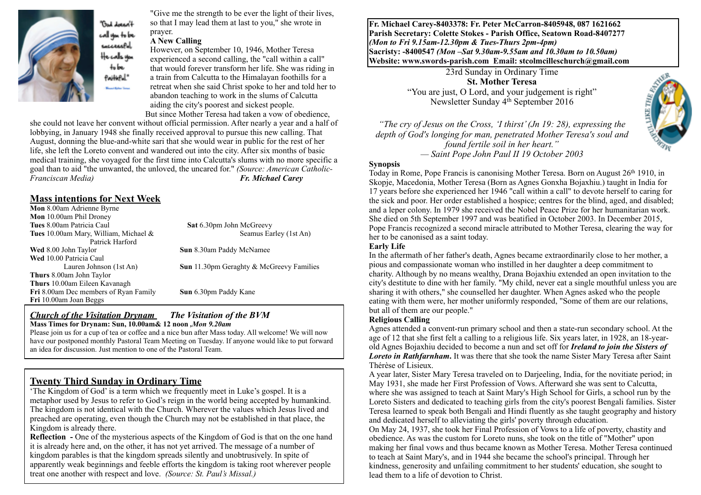

**Thank Lot** cal van to be sacceccPul He cals von tobe Pailleful." .<br>Louis Mathem Thomas

"Give me the strength to be ever the light of their lives, so that I may lead them at last to you," she wrote in prayer.

#### **A New Calling**

However, on September 10, 1946, Mother Teresa experienced a second calling, the "call within a call" that would forever transform her life. She was riding in a train from Calcutta to the Himalayan foothills for a retreat when she said Christ spoke to her and told her to abandon teaching to work in the slums of Calcutta aiding the city's poorest and sickest people. But since Mother Teresa had taken a vow of obedience,

she could not leave her convent without official permission. After nearly a year and a half of lobbying, in January 1948 she finally received approval to pursue this new calling. That August, donning the blue-and-white sari that she would wear in public for the rest of her life, she left the Loreto convent and wandered out into the city. After six months of basic medical training, she voyaged for the first time into Calcutta's slums with no more specific a goal than to aid "the unwanted, the unloved, the uncared for." *(Source: American Catholic-Fr. Michael Carey* 

### **Mass intentions for Next Week**

**Mon** 8.00am Adrienne Byrne **Mon** 10.00am Phil Droney<br>**Tues** 8.00am Patricia Caul **Tues** 10.00am Mary, William, Michael & Seamus Earley (1st An) Patrick Harford **Wed** 8.00 John Taylor **Sun 8.30am Paddy McNamee Wed** 10.00 Patricia Caul Lauren Johnson (1st An) **Sun** 11.30pm Geraghty & McGreevy Families **Thurs** 8.00am John Taylor **Thurs** 10.00am Eileen Kavanagh **Fri** 8.00am Dec members of Ryan Family **Sun** 6.30pm Paddy Kane **Fri** 10.00am Joan Beggs

**Sat** 6.30pm John McGreevy

#### *Church of the Visitation Drynam**The Visitation of the BVM* **Mass Times for Drynam: Sun, 10.00am& 12 noon** *,Mon 9.20am*

Please join us for a cup of tea or coffee and a nice bun after Mass today. All welcome! We will now have our postponed monthly Pastoral Team Meeting on Tuesday. If anyone would like to put forward an idea for discussion. Just mention to one of the Pastoral Team.

# **Twenty Third Sunday in Ordinary Time**

'The Kingdom of God' is a term which we frequently meet in Luke's gospel. It is a metaphor used by Jesus to refer to God's reign in the world being accepted by humankind. The kingdom is not identical with the Church. Wherever the values which Jesus lived and preached are operating, even though the Church may not be established in that place, the Kingdom is already there.

**Reflection -** One of the mysterious aspects of the Kingdom of God is that on the one hand it is already here and, on the other, it has not yet arrived. The message of a number of kingdom parables is that the kingdom spreads silently and unobtrusively. In spite of apparently weak beginnings and feeble efforts the kingdom is taking root wherever people treat one another with respect and love. *(Source: St. Paul's Missal.)*

**Fr. Michael Carey-8403378: Fr. Peter McCarron-8405948, 087 1621662 Parish Secretary: Colette Stokes - Parish Office, Seatown Road-8407277**  *(Mon to Fri 9.15am-12.30pm & Tues-Thurs 2pm-4pm)*  **Sacristy: -8400547** *(Mon –Sat 9.30am-9.55am and 10.30am to 10.50am)* **Website: [www.swords-parish.com Email:](http://www.swords-parish.com%20%20email) stcolmcilleschurch@gmail.com**

> 23rd Sunday in Ordinary Time **St. Mother Teresa**  "You are just, O Lord, and your judgement is right" Newsletter Sunday 4th September 2016

*"The cry of Jesus on the Cross, 'I thirst' (Jn 19: 28), expressing the depth of God's longing for man, penetrated Mother Teresa's soul and found fertile soil in her heart." — Saint Pope John Paul II 19 October 2003* 



Today in Rome, Pope Francis is canonising Mother Teresa. Born on August 26<sup>th</sup> 1910, in Skopje, Macedonia, Mother Teresa (Born as Agnes Gonxha Bojaxhiu.) taught in India for 17 years before she experienced her 1946 "call within a call" to devote herself to caring for the sick and poor. Her order established a hospice; centres for the blind, aged, and disabled; and a leper colony. In 1979 she received the Nobel Peace Prize for her humanitarian work. She died on 5th September 1997 and was beatified in October 2003. In December 2015, Pope Francis recognized a second miracle attributed to Mother Teresa, clearing the way for her to be canonised as a saint today.

#### **Early Life**

In the aftermath of her father's death, Agnes became extraordinarily close to her mother, a pious and compassionate woman who instilled in her daughter a deep commitment to charity. Although by no means wealthy, Drana Bojaxhiu extended an open invitation to the city's destitute to dine with her family. "My child, never eat a single mouthful unless you are sharing it with others," she counselled her daughter. When Agnes asked who the people eating with them were, her mother uniformly responded, "Some of them are our relations, but all of them are our people."

#### **Religious Calling**

Agnes attended a convent-run primary school and then a state-run secondary school. At the age of 12 that she first felt a calling to a religious life. Six years later, in 1928, an 18-yearold Agnes Bojaxhiu decided to become a nun and set off for *Ireland to join the Sisters of*  **Loreto in Rathfarnham.** It was there that she took the name Sister Mary Teresa after Saint Thérèse of Lisieux.

A year later, Sister Mary Teresa traveled on to Darjeeling, India, for the novitiate period; in May 1931, she made her First Profession of Vows. Afterward she was sent to Calcutta, where she was assigned to teach at Saint Mary's High School for Girls, a school run by the Loreto Sisters and dedicated to teaching girls from the city's poorest Bengali families. Sister Teresa learned to speak both Bengali and Hindi fluently as she taught geography and history and dedicated herself to alleviating the girls' poverty through education.

On May 24, 1937, she took her Final Profession of Vows to a life of poverty, chastity and obedience. As was the custom for Loreto nuns, she took on the title of "Mother" upon making her final vows and thus became known as Mother Teresa. Mother Teresa continued to teach at Saint Mary's, and in 1944 she became the school's principal. Through her kindness, generosity and unfailing commitment to her students' education, she sought to lead them to a life of devotion to Christ.